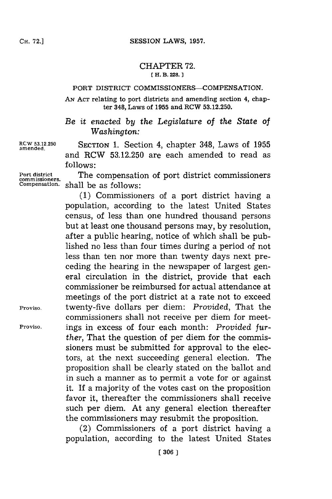#### CHAPTER **72. [ H. B. 228.**

#### **PORT DISTRICT COMMISSIONERS-COMPENSATION.**

**AN ACT relating to** port districts and amending section **4, chapter 348, Laws of 1955 and RCW 53.12.250.**

*Be it enacted by the Legislature of the State of Washington:*

**amended.**

**RCW 53.12.250 SECTION 1.** Section 4, chapter 348, Laws of **1955** and RCW **53.12.250** are each amended to read as **follows:**

**Port district** The compensation of port district commissioners **commissioners.** shall be as follows:

**(1)** Commissioners of a port district having a population, according to the latest United States census, of less than one hundred thousand persons but at least one thousand persons may, **by** resolution, after a public hearing, notice of which shall be published no less than four times during a period of not less than ten nor more than twenty days next preceding the hearing in the newspaper of largest general circulation in the district, provide that each commissioner be reimbursed for actual attendance at meetings of the port district at a rate not to exceed **Proviso.** twenty-five dollars per diem: *Provided,* That the commissioners shall not receive per diem for meet-**Proviso.** ings in excess of four each month: *Provided further,* That the question of per diem for the commissioners must be submitted for approval to the electors, at the next succeeding general election. The proposition shall be clearly stated on the ballot and in such a manner as to permit a vote for or against it. If a majority of the votes cast on the proposition favor it, thereafter the commissioners shall receive such per diem. At any general election thereafter the commissioners may resubmit the proposition.

> (2) Commissioners of a port district having a population, according to the latest United States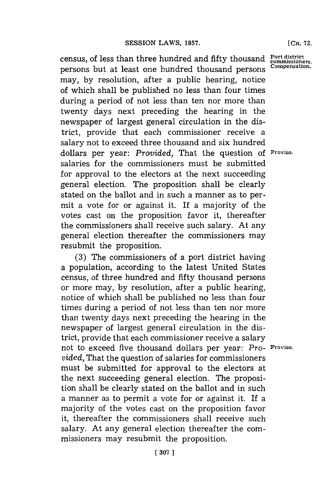census, of less than three hundred and fifty thousand **Port district**<br>normal port and the property compensation. persons but at least one hundred thousand persons may, **by** resolution, after a public hearing, notice of which shall be published no less than four times during a period of not less than ten nor more than twenty days next preceding the hearing in the newspaper of largest general circulation in the district, provide that each commissioner receive a salary not to exceed three thousand and six hundred dollars per year: *Provided,* That the question **of Proviso.** salaries for the commissioners must be submitted for approval to the electors at the next succeeding general election. The proposition shall be clearly stated on the ballot and in such a manner as to permit a vote for or against it. If a majority of the votes cast on the proposition favor it, thereafter the commissioners shall receive such salary. At any general election thereafter the commissioners may resubmit the proposition.

**(3)** The commissioners of a port district having a population, according to the latest United States census, of three hundred and fifty thousand persons or more may, **by** resolution, after a public hearing, notice of which shall be published no less than four times during a period of not less than ten nor more than twenty days next preceding the hearing in the newspaper of largest general circulation in the district, provide that each commissioner receive a salary not to exceed five thousand dollars per year: *Pro-* **Proviso.** *vided.* That the question of salaries for commissioners must be submitted for approval to the electors at the next succeeding general election. The proposition shall be clearly stated on the ballot and in such a manner as to permit a vote for or against it. If a majority of the votes cast on the proposition favor it, thereafter the commissioners shall receive such salary. At any general election thereafter the commissioners may resubmit the proposition.